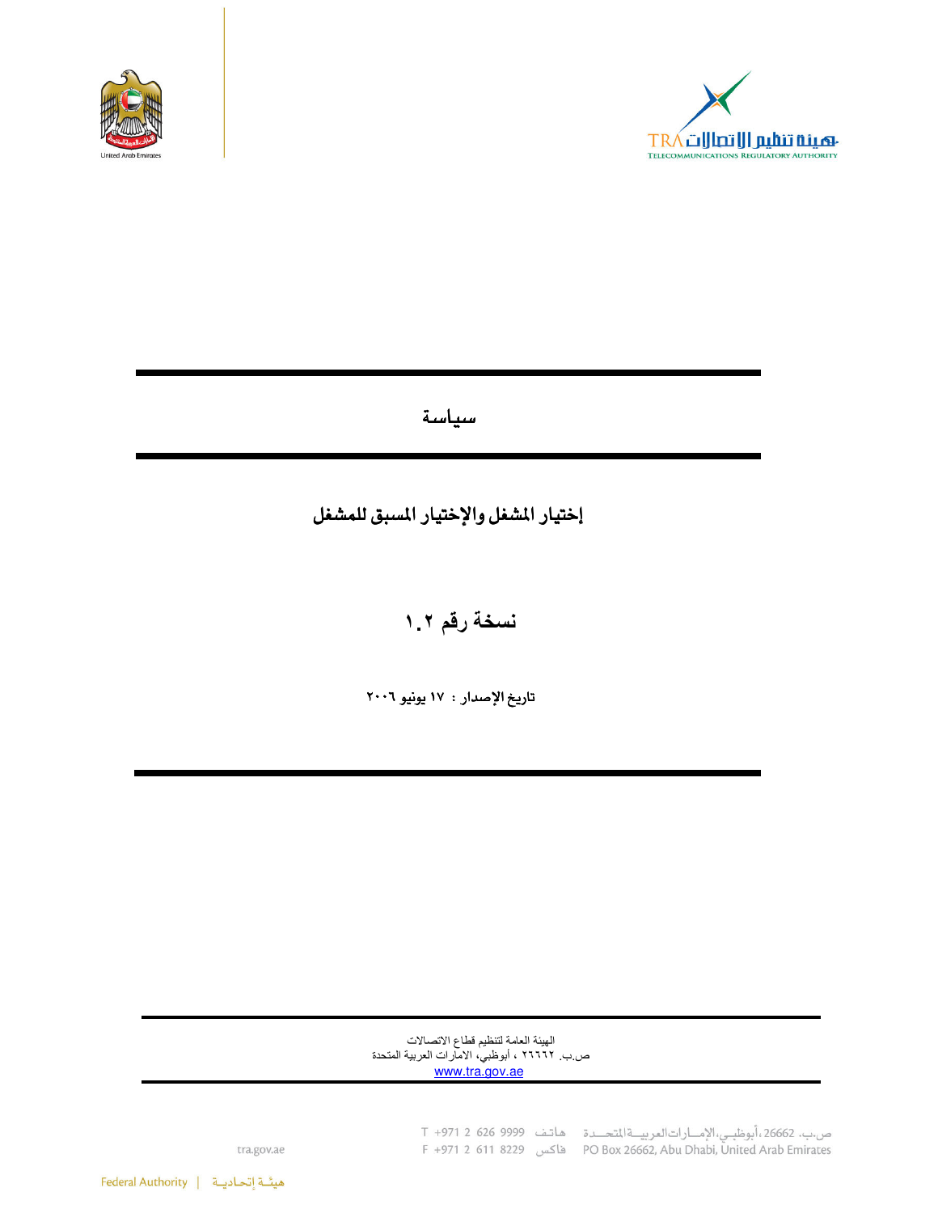



سياسة

## إختيار المشغل والإختيار المسبق للمشغل

نسخة رقم ٢.١

تاريخ الإصدار : ١٧ يونيو ٢٠٠٦

الهيئة العامة لتنظيم قطاع الاتصالات ص ب ٢٦٦٦٦ ، أبوظبي، الأمارات العربية المتحدة<br><u>www.tra.gov.ae</u>

ص.ب. 26662،أبوظبـي،الإمـــارات|لعربيـــة|لمتحـــدة هاتـف 9999 966 1 1971 T<br>PO Box 26662, Abu Dhabi, United Arab Emirates فاكس 8229 F +971 2 611 8229

tra.gov.ae

هيئة إتحاديـة | Federal Authority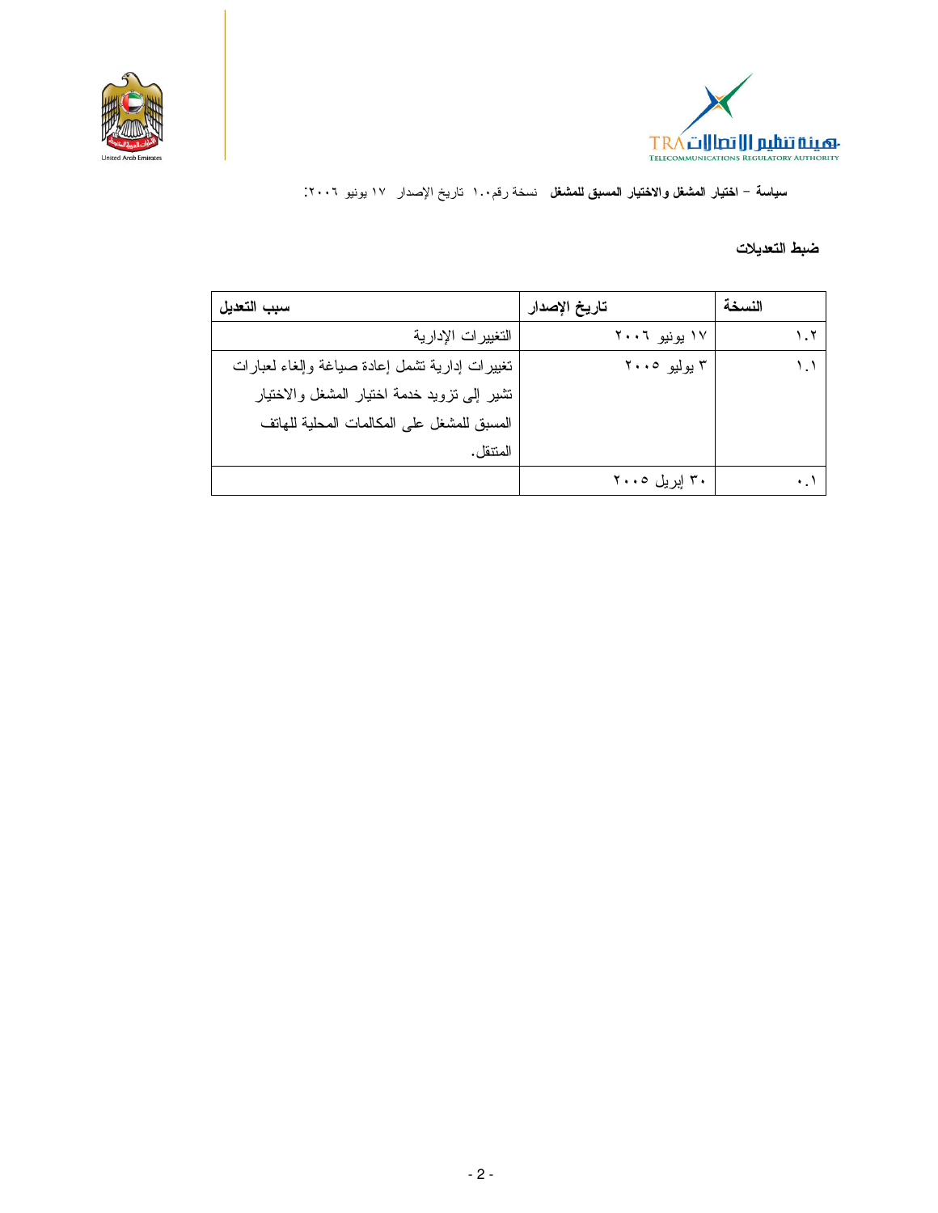



سياسة – ا**ختيار المشغل والاختيار المسبق للمشغل** نسخة رقم١٠٠ تاريخ الإصدار ١٧ يونيو ٢٠٠٦.

## ضبط التعديلات

| سبب التعديل                                    | تاريخ الإصدار | النسخة |
|------------------------------------------------|---------------|--------|
| التغييرات الإدارية                             | ۱۷ یونیو ۲۰۰٦ | ۲.۱    |
| تغييرات إدارية نشمل إعادة صياغة وإلغاء لعبارات | ۳ يوليو ۲۰۰۵  |        |
| تشير إلى نزويد خدمة اختيار المشغل والاختيار    |               |        |
| المسبق للمشغل على المكالمات المحلية للهاتف     |               |        |
| المنتقل.                                       |               |        |
|                                                | ۳۰ ایریل ۲۰۰۰ |        |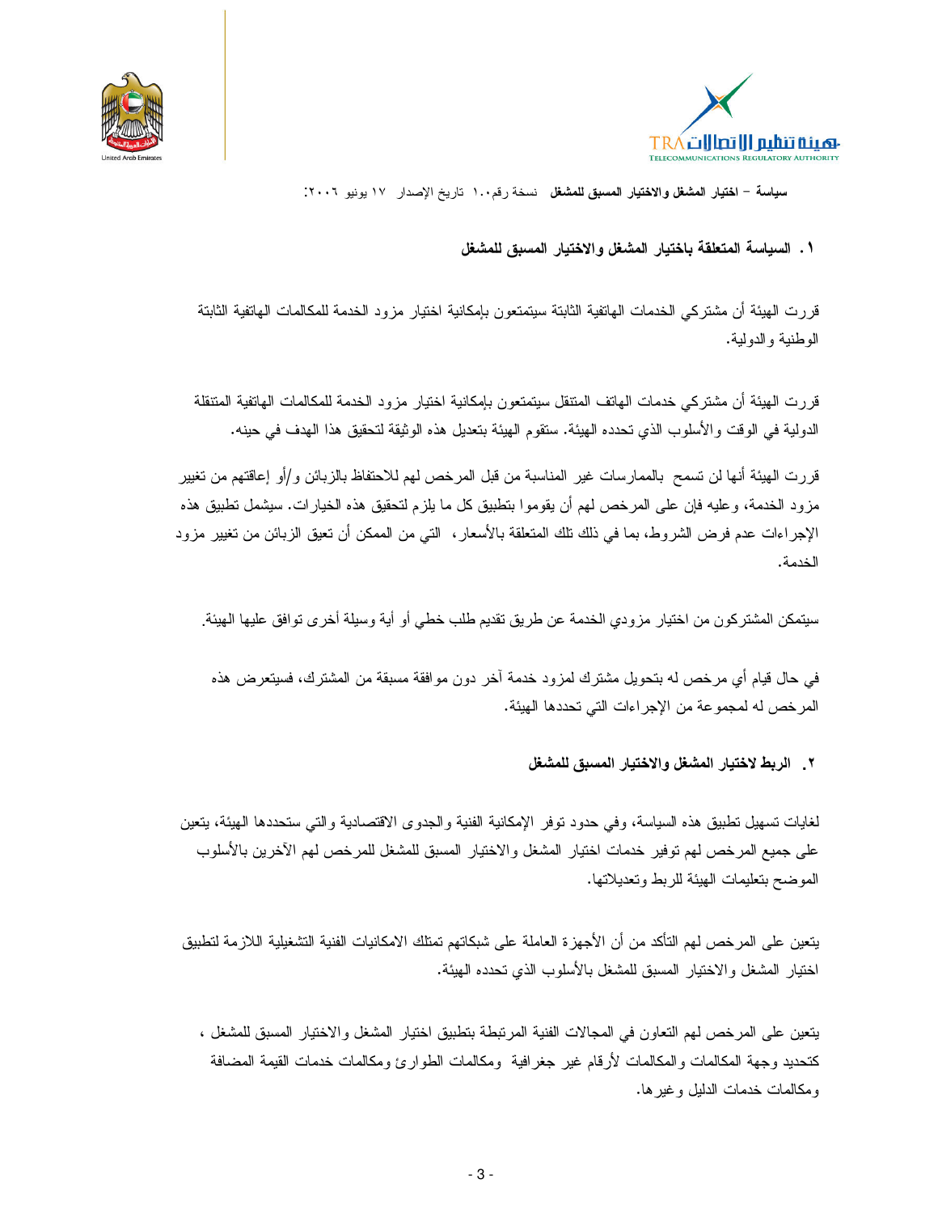



سياسة – اختيار المشغل والاختيار المسبق للمشغل فسخة رقم١٠٠ تاريخ الإصدار ١٧ يونيو ٢٠٠٦.

## ١ . السياسة المتعلقة باختبار المشغل والإختبار المسبق للمشغل

قررت الهيئة أن مشتركي الخدمات الهاتفية الثابتة سيتمتعون بإمكانية اختيار مزود الخدمة للمكالمات الهاتفية الثابتة الوطنبة والدولبة.

قررت الهيئة أن مشتركي خدمات الهاتف المنتقل سيتمتعون بإمكانية اختيار مزود الخدمة للمكالمات الهانفية المتنقلة الدولية في الوقت و الأسلوب الذي تحدده الهيئة. ستقوم الهيئة بتعديل هذه الوثيقة لتحقيق هذا الهدف في حينه.

قررت الهيئة أنها لن تسمح بالممارسات غير المناسبة من قبل المرخص لهم للاحتفاظ بالزبائن و/أو إعاقتهم من تغيير مزود الخدمة، وعليه فإن على المرخص لهم أن يقوموا بتطبيق كل ما يلزم لتحقيق هذه الخيارات. سيشمل تطبيق هذه الإجراءات عدم فرض الشروط، بما في ذلك نلك المنعلقة بالأسعار ، التي من الممكن أن نعيق الزبائن من نغيير مزود الخدمة.

سيتمكن المشتركون من اختيار مزودي الخدمة عن طريق تقديم طلب خطي أو أية وسيلة أخرى توافق عليها الهيئة.

في حال قيام أي مرخص له بتحويل مشترك لمزود خدمة آخر دون موافقة مسبقة من المشترك، فسيتعرض هذه المرخص له لمجموعة من الإجراءات التي تحددها الهيئة.

٢ . الربط لاختيار المشغل والاختيار المسبق للمشغل

لغايات تسهيل تطبيق هذه السياسة، وفي حدود نوفر الإمكانية الفنية والجدوى الاقتصادية والتي ستحددها الهيئة، يتعين على جميع المرخص لهم توفير خدمات اختيار المشغل والاختيار المسبق للمشغل للمرخص لهم الأخرين بالأسلوب الموضح بتعليمات الهيئة للربط وتعديلاتها.

يتعين على المرخص لهم التأكد من أن الأجهزة العاملة على شبكاتهم تمتلك الامكانيات الفنية التشغيلية اللازمة لتطبيق اختيار المشغل والاختيار المسبق للمشغل بالأسلوب الذي تحدده الهيئة.

يتعين على المرخص لهم التعاون في المجالات الفنية المرتبطة بتطبيق اختيار المشغل والاختيار المسبق للمشغل ، كتحديد وجهة المكالمات والمكالمات لأرقام غير جغرافية ومكالمات الطوارئ ومكالمات خدمات القيمة المضافة ومكالمات خدمات الدليل وغيرها.